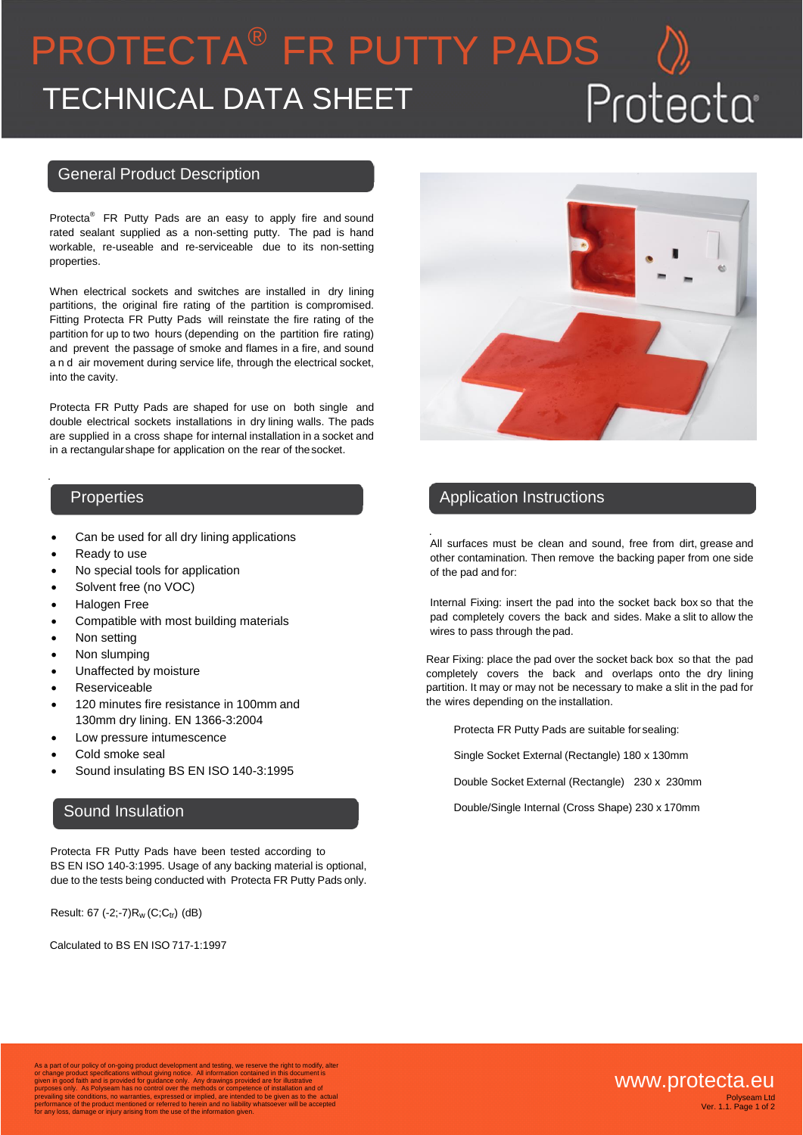# PROTECTA ® FR PUTTY PADS Protecta TECHNICAL DATA SHEET

#### General Product Description

Protecta<sup>®</sup> FR Putty Pads are an easy to apply fire and sound rated sealant supplied as a non-setting putty. The pad is hand workable, re-useable and re-serviceable due to its non-setting properties.

When electrical sockets and switches are installed in dry lining partitions, the original fire rating of the partition is compromised. Fitting Protecta FR Putty Pads will reinstate the fire rating of the partition for up to two hours (depending on the partition fire rating) and prevent the passage of smoke and flames in a fire, and sound and air movement during service life, through the electrical socket, into the cavity.

Protecta FR Putty Pads are shaped for use on both single and double electrical sockets installations in dry lining walls. The pads are supplied in a cross shape for internal installation in a socket and in a rectangularshape for application on the rear of thesocket.

.

- Can be used for all dry lining applications
- Ready to use
- No special tools for application
- Solvent free (no VOC)
- Halogen Free
- Compatible with most building materials
- Non setting
- Non slumping
- Unaffected by moisture
- Reserviceable
- 120 minutes fire resistance in 100mm and 130mm dry lining. EN 1366-3:2004
- Low pressure intumescence
- Cold smoke seal
- Sound insulating BS EN ISO 140-3:1995

### Sound Insulation

 Protecta FR Putty Pads have been tested according to BS EN ISO 140-3:1995. Usage of any backing material is optional, due to the tests being conducted with Protecta FR Putty Pads only.

Result:  $67$  (-2;-7) $R_w$  (C;C<sub>tr</sub>) (dB)

Calculated to BS EN ISO 717-1:1997



# Properties **Application Instructions**

. All surfaces must be clean and sound, free from dirt, grease and other contamination. Then remove the backing paper from one side of the pad and for:

Internal Fixing: insert the pad into the socket back box so that the pad completely covers the back and sides. Make a slit to allow the wires to pass through the pad.

Rear Fixing: place the pad over the socket back box so that the pad completely covers the back and overlaps onto the dry lining partition. It may or may not be necessary to make a slit in the pad for the wires depending on the installation.

Protecta FR Putty Pads are suitable for sealing:

Single Socket External (Rectangle) 180 x 130mm

Double Socket External (Rectangle) 230 x 230mm

Double/Single Internal (Cross Shape) 230 x 170mm

As a part of our policy of on-going product development and testing, we reserve the right to modify, alter<br>or change product specifications without giving notice. All information contained in this document is<br>given in good